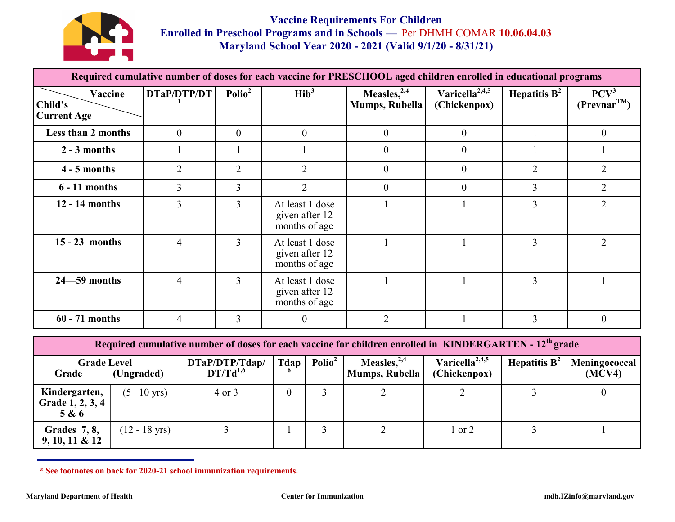

**Vaccine Requirements For Children Enrolled in Preschool Programs and in Schools —** Per DHMH COMAR **10.06.04.03 Maryland School Year 2020 - 2021 (Valid 9/1/20 - 8/31/21)** 

| Required cumulative number of doses for each vaccine for PRESCHOOL aged children enrolled in educational programs |                |                    |                                                    |                                     |                                            |                 |                                      |
|-------------------------------------------------------------------------------------------------------------------|----------------|--------------------|----------------------------------------------------|-------------------------------------|--------------------------------------------|-----------------|--------------------------------------|
| Vaccine<br>Child's<br><b>Current Age</b>                                                                          | DTaP/DTP/DT    | Polio <sup>2</sup> | $\text{Hib}^3$                                     | Measles, $^{2,4}$<br>Mumps, Rubella | Varicella <sup>2,4,5</sup><br>(Chickenpox) | Hepatitis $B^2$ | PCV <sup>3</sup><br>$(Prevnar^{TM})$ |
| <b>Less than 2 months</b>                                                                                         | $\theta$       | $\theta$           | $\theta$                                           | $\theta$                            | $\theta$                                   |                 | $\theta$                             |
| $2 - 3$ months                                                                                                    |                |                    |                                                    | $\overline{0}$                      | $\theta$                                   |                 |                                      |
| $4 - 5$ months                                                                                                    | $\overline{2}$ | $\overline{2}$     | $\overline{2}$                                     | $\theta$                            | $\theta$                                   | $\overline{2}$  | $\overline{2}$                       |
| $6 - 11$ months                                                                                                   | $\overline{3}$ | $\overline{3}$     | $\overline{2}$                                     | $\Omega$                            | $\Omega$                                   | 3               | $\overline{2}$                       |
| 12 - 14 months                                                                                                    | $\overline{3}$ | $\overline{3}$     | At least 1 dose<br>given after 12<br>months of age |                                     |                                            | 3               | $\overline{2}$                       |
| $15 - 23$ months                                                                                                  | $\overline{4}$ | 3                  | At least 1 dose<br>given after 12<br>months of age |                                     |                                            | $\overline{3}$  | $\overline{2}$                       |
| $24 - 59$ months                                                                                                  | 4              | 3                  | At least 1 dose<br>given after 12<br>months of age |                                     |                                            | 3               |                                      |
| $60 - 71$ months                                                                                                  | $\overline{4}$ | $\overline{3}$     | $\theta$                                           | $\overline{2}$                      |                                            | 3               | $\overline{0}$                       |

**Required cumulative number of doses for each vaccine for children enrolled in KINDERGARTEN - 12th grade Grade Level Grade (Ungraded) DTaP/DTP/Tdap/ DT/Td1,6 Tdap 6 Polio<sup>2</sup> Measles,2,4 Mumps, Rubella Varicella2,4,5 (Chickenpox) Hepatitis B<sup>2</sup> Meningococcal (MCV4) Kindergarten, Grade 1, 2, 3, 4 5 & 6**  $(5-10 \text{ yrs})$  4 or 3 0 3 2 2 3 0

 $(12 - 18 \text{ yrs})$  3 1 3 2 1 or 2 3 1

**\* See footnotes on back for 2020-21 school immunization requirements.**

**Grades 7, 8, 9, 10, 11 & 12**